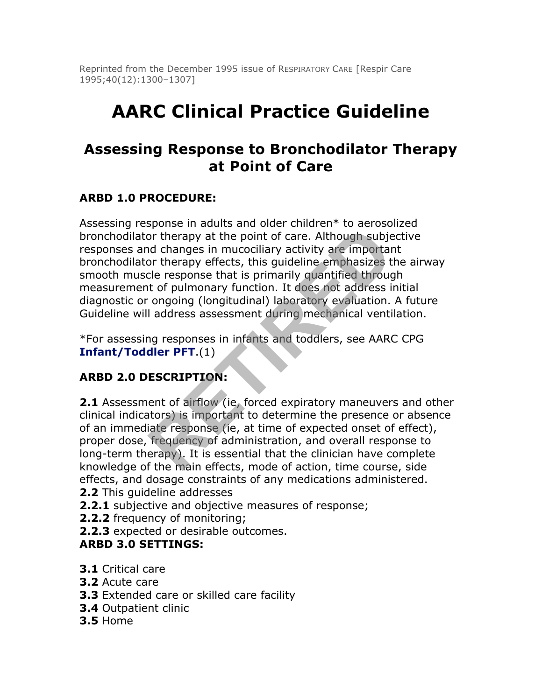Reprinted from the December 1995 issue of RESPIRATORY CARE [Respir Care 1995;40(12):1300–1307]

# **AARC Clinical Practice Guideline**

# **Assessing Response to Bronchodilator Therapy at Point of Care**

#### **ARBD 1.0 PROCEDURE:**

Assessing response in adults and older children\* to aerosolized bronchodilator therapy at the point of care. Although subjective responses and changes in mucociliary activity are important bronchodilator therapy effects, this guideline emphasizes the airway smooth muscle response that is primarily quantified through measurement of pulmonary function. It does not address initial diagnostic or ongoing (longitudinal) laboratory evaluation. A future Guideline will address assessment during mechanical ventilation. For therapy at the point of care. Although subjet<br>or therapy at the point of care. Although subjet<br>of changes in mucociliary activity are important<br>or therapy effects, this guideline emphasizes t<br>cle response that is prima

\*For assessing responses in infants and toddlers, see AARC CPG **Infant/Toddler PFT**.(1)

#### **ARBD 2.0 DESCRIPTION:**

**2.1** Assessment of airflow (ie, forced expiratory maneuvers and other clinical indicators) is important to determine the presence or absence of an immediate response (ie, at time of expected onset of effect), proper dose, frequency of administration, and overall response to long-term therapy). It is essential that the clinician have complete knowledge of the main effects, mode of action, time course, side effects, and dosage constraints of any medications administered.

- **2.2** This guideline addresses
- **2.2.1** subjective and objective measures of response;
- **2.2.2** frequency of monitoring;
- **2.2.3** expected or desirable outcomes.

#### **ARBD 3.0 SETTINGS:**

- **3.1** Critical care
- **3.2** Acute care
- **3.3** Extended care or skilled care facility
- **3.4** Outpatient clinic
- **3.5** Home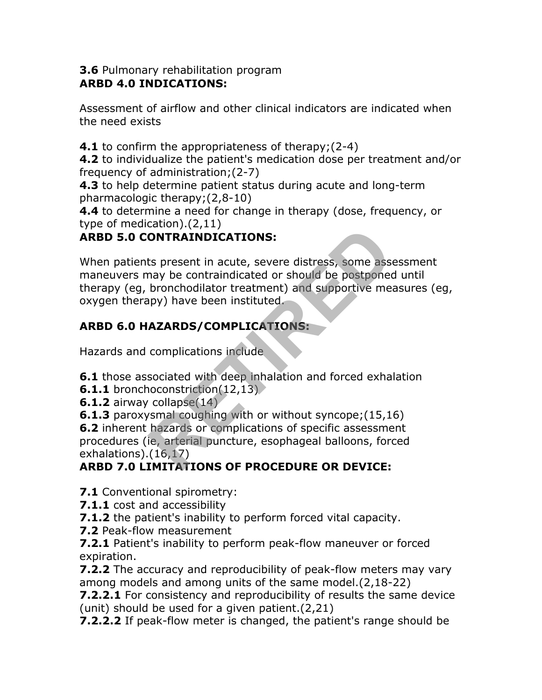#### **3.6** Pulmonary rehabilitation program **ARBD 4.0 INDICATIONS:**

Assessment of airflow and other clinical indicators are indicated when the need exists

**4.1** to confirm the appropriateness of therapy;(2-4)

**4.2** to individualize the patient's medication dose per treatment and/or frequency of administration;(2-7)

**4.3** to help determine patient status during acute and long-term pharmacologic therapy;(2,8-10)

**4.4** to determine a need for change in therapy (dose, frequency, or type of medication).(2,11)

## **ARBD 5.0 CONTRAINDICATIONS:**

When patients present in acute, severe distress, some assessment maneuvers may be contraindicated or should be postponed until therapy (eg, bronchodilator treatment) and supportive measures (eg, oxygen therapy) have been instituted. **CONTRAINDICATIONS:**<br>
ts present in acute, severe distress, some asset are present in acute, severe distress, some asset are presented by the contraindicated or should be postponed<br>
bronchodilator treatment) and supportive

# **ARBD 6.0 HAZARDS/COMPLICATIONS:**

Hazards and complications include

**6.1** those associated with deep inhalation and forced exhalation

**6.1.1** bronchoconstriction(12,13)

**6.1.2** airway collapse(14)

**6.1.3** paroxysmal coughing with or without syncope;(15,16)

**6.2** inherent hazards or complications of specific assessment procedures (ie, arterial puncture, esophageal balloons, forced exhalations). $(16,17)$ 

# **ARBD 7.0 LIMITATIONS OF PROCEDURE OR DEVICE:**

**7.1** Conventional spirometry:

- **7.1.1** cost and accessibility
- **7.1.2** the patient's inability to perform forced vital capacity.
- **7.2** Peak-flow measurement

**7.2.1** Patient's inability to perform peak-flow maneuver or forced expiration.

**7.2.2** The accuracy and reproducibility of peak-flow meters may vary among models and among units of the same model.(2,18-22)

**7.2.2.1** For consistency and reproducibility of results the same device (unit) should be used for a given patient.(2,21)

**7.2.2.2** If peak-flow meter is changed, the patient's range should be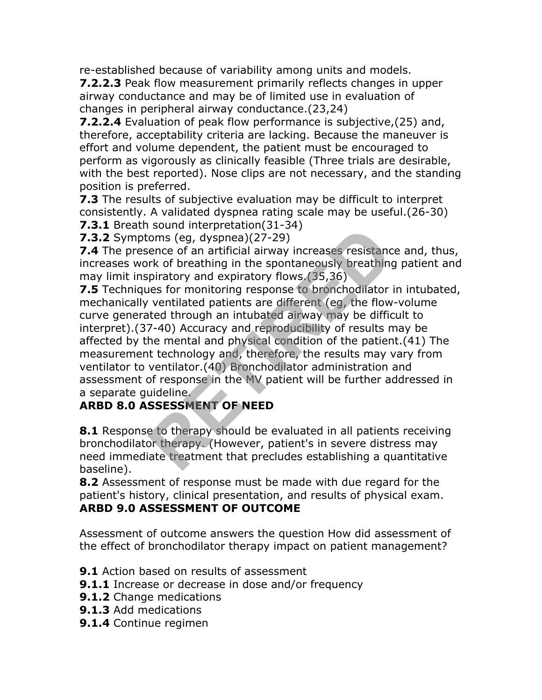re-established because of variability among units and models.

**7.2.2.3** Peak flow measurement primarily reflects changes in upper airway conductance and may be of limited use in evaluation of changes in peripheral airway conductance.(23,24)

**7.2.2.4** Evaluation of peak flow performance is subjective,(25) and, therefore, acceptability criteria are lacking. Because the maneuver is effort and volume dependent, the patient must be encouraged to perform as vigorously as clinically feasible (Three trials are desirable, with the best reported). Nose clips are not necessary, and the standing position is preferred.

**7.3** The results of subjective evaluation may be difficult to interpret consistently. A validated dyspnea rating scale may be useful.(26-30) **7.3.1** Breath sound interpretation(31-34)

**7.3.2** Symptoms (eg, dyspnea)(27-29)

**7.4** The presence of an artificial airway increases resistance and, thus, increases work of breathing in the spontaneously breathing patient and may limit inspiratory and expiratory flows.(35,36)

**7.5** Techniques for monitoring response to bronchodilator in intubated, mechanically ventilated patients are different (eg, the flow-volume curve generated through an intubated airway may be difficult to interpret).(37-40) Accuracy and reproducibility of results may be affected by the mental and physical condition of the patient.(41) The measurement technology and, therefore, the results may vary from ventilator to ventilator.(40) Bronchodilator administration and assessment of response in the MV patient will be further addressed in a separate guideline. From (eg, dyspnea)(27-29)<br>
ence of an artificial airway increases resistance<br>
rk of breathing in the spontaneously breathing<br>
piratory and expiratory flows.(35,36)<br>
les for monitoring response to bronchodilator<br>
ventilated

#### **ARBD 8.0 ASSESSMENT OF NEED**

**8.1** Response to therapy should be evaluated in all patients receiving bronchodilator therapy. (However, patient's in severe distress may need immediate treatment that precludes establishing a quantitative baseline).

**8.2** Assessment of response must be made with due regard for the patient's history, clinical presentation, and results of physical exam. **ARBD 9.0 ASSESSMENT OF OUTCOME**

Assessment of outcome answers the question How did assessment of the effect of bronchodilator therapy impact on patient management?

- **9.1** Action based on results of assessment
- **9.1.1** Increase or decrease in dose and/or frequency
- **9.1.2** Change medications
- **9.1.3** Add medications
- **9.1.4** Continue regimen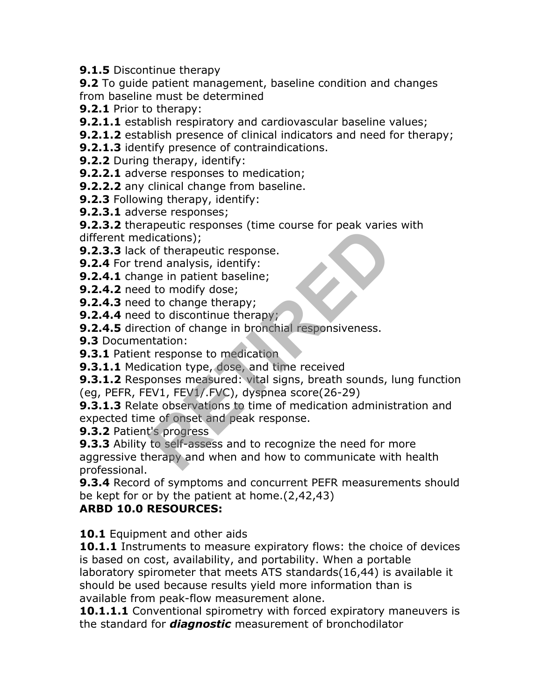#### **9.1.5** Discontinue therapy

**9.2** To guide patient management, baseline condition and changes from baseline must be determined

- **9.2.1** Prior to therapy:
- **9.2.1.1** establish respiratory and cardiovascular baseline values;
- **9.2.1.2** establish presence of clinical indicators and need for therapy;
- **9.2.1.3** identify presence of contraindications.
- **9.2.2** During therapy, identify:
- **9.2.2.1** adverse responses to medication;
- **9.2.2.2** any clinical change from baseline.
- **9.2.3** Following therapy, identify:
- **9.2.3.1** adverse responses;

**9.2.3.2** therapeutic responses (time course for peak varies with different medications);

- **9.2.3.3** lack of therapeutic response.
- **9.2.4** For trend analysis, identify:
- **9.2.4.1** change in patient baseline;
- **9.2.4.2** need to modify dose;
- **9.2.4.3** need to change therapy;
- **9.2.4.4** need to discontinue therapy;
- **9.2.4.5** direction of change in bronchial responsiveness.
- **9.3** Documentation:
- **9.3.1 Patient response to medication**
- **9.3.1.1** Medication type, dose, and time received
- **9.3.1.2** Responses measured: vital signs, breath sounds, lung function (eg, PEFR, FEV1, FEV1/.FVC), dyspnea score(26-29)

**9.3.1.3** Relate observations to time of medication administration and expected time of onset and peak response.

**9.3.2** Patient's progress

**9.3.3** Ability to self-assess and to recognize the need for more aggressive therapy and when and how to communicate with health professional. dications);<br>dications);<br>of therapeutic responses.<br>end analysis, identify:<br>right in patient baseline;<br>to modify dose;<br>to change therapy;<br>to change in bronchial responsiveness.<br>natation:<br>tesponse to medication<br>ication type,

**9.3.4** Record of symptoms and concurrent PEFR measurements should be kept for or by the patient at home.(2,42,43)

#### **ARBD 10.0 RESOURCES:**

**10.1** Equipment and other aids

**10.1.1** Instruments to measure expiratory flows: the choice of devices is based on cost, availability, and portability. When a portable laboratory spirometer that meets ATS standards(16,44) is available it should be used because results yield more information than is available from peak-flow measurement alone.

**10.1.1.1** Conventional spirometry with forced expiratory maneuvers is the standard for *diagnostic* measurement of bronchodilator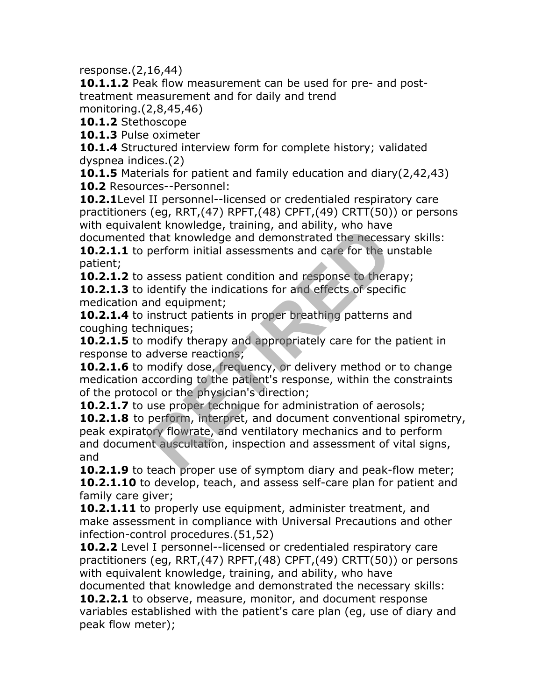response.(2,16,44)

**10.1.1.2** Peak flow measurement can be used for pre- and posttreatment measurement and for daily and trend

monitoring.(2,8,45,46)

**10.1.2** Stethoscope

**10.1.3** Pulse oximeter

**10.1.4** Structured interview form for complete history; validated dyspnea indices.(2)

**10.1.5** Materials for patient and family education and diary(2,42,43) **10.2** Resources--Personnel:

**10.2.1**Level II personnel--licensed or credentialed respiratory care practitioners (eg, RRT,(47) RPFT,(48) CPFT,(49) CRTT(50)) or persons with equivalent knowledge, training, and ability, who have

documented that knowledge and demonstrated the necessary skills: **10.2.1.1** to perform initial assessments and care for the unstable patient;

**10.2.1.2** to assess patient condition and response to therapy; **10.2.1.3** to identify the indications for and effects of specific medication and equipment;

**10.2.1.4** to instruct patients in proper breathing patterns and coughing techniques;

**10.2.1.5** to modify therapy and appropriately care for the patient in response to adverse reactions;

**10.2.1.6** to modify dose, frequency, or delivery method or to change medication according to the patient's response, within the constraints of the protocol or the physician's direction;

**10.2.1.7** to use proper technique for administration of aerosols; **10.2.1.8** to perform, interpret, and document conventional spirometry, peak expiratory flowrate, and ventilatory mechanics and to perform and document auscultation, inspection and assessment of vital signs, and Find knowledge and demonstrated the necess<br>perform initial assessments and care for the u<br>assess patient condition and response to thera<br>identify the indications for and effects of speci<br>nd equipment;<br>instruct patients in

**10.2.1.9** to teach proper use of symptom diary and peak-flow meter; **10.2.1.10** to develop, teach, and assess self-care plan for patient and family care giver;

**10.2.1.11** to properly use equipment, administer treatment, and make assessment in compliance with Universal Precautions and other infection-control procedures.(51,52)

**10.2.2** Level I personnel--licensed or credentialed respiratory care practitioners (eg, RRT,(47) RPFT,(48) CPFT,(49) CRTT(50)) or persons with equivalent knowledge, training, and ability, who have

documented that knowledge and demonstrated the necessary skills:

**10.2.2.1** to observe, measure, monitor, and document response variables established with the patient's care plan (eg, use of diary and peak flow meter);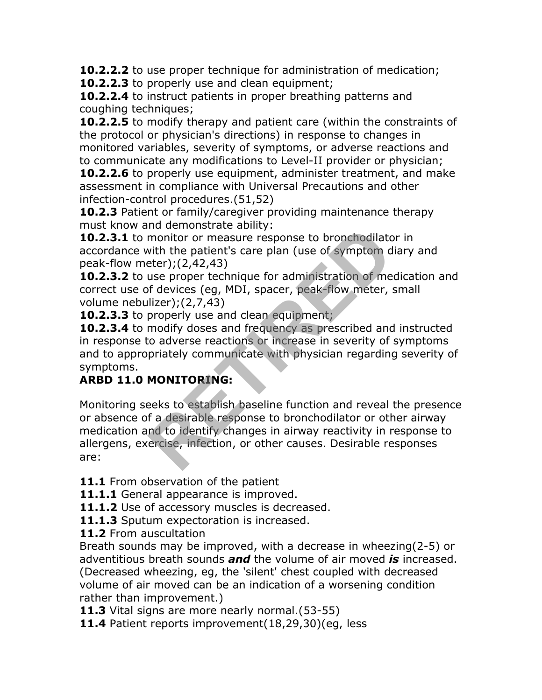**10.2.2.2** to use proper technique for administration of medication;

**10.2.2.3** to properly use and clean equipment;

**10.2.2.4** to instruct patients in proper breathing patterns and coughing techniques;

**10.2.2.5** to modify therapy and patient care (within the constraints of the protocol or physician's directions) in response to changes in monitored variables, severity of symptoms, or adverse reactions and to communicate any modifications to Level-II provider or physician;

**10.2.2.6** to properly use equipment, administer treatment, and make assessment in compliance with Universal Precautions and other infection-control procedures.(51,52)

**10.2.3** Patient or family/caregiver providing maintenance therapy must know and demonstrate ability:

**10.2.3.1** to monitor or measure response to bronchodilator in accordance with the patient's care plan (use of symptom diary and peak-flow meter);(2,42,43)

**10.2.3.2** to use proper technique for administration of medication and correct use of devices (eg, MDI, spacer, peak-flow meter, small volume nebulizer);(2,7,43)

**10.2.3.3** to properly use and clean equipment;

**10.2.3.4** to modify doses and frequency as prescribed and instructed in response to adverse reactions or increase in severity of symptoms and to appropriately communicate with physician regarding severity of symptoms.

## **ARBD 11.0 MONITORING:**

Monitoring seeks to establish baseline function and reveal the presence or absence of a desirable response to bronchodilator or other airway medication and to identify changes in airway reactivity in response to allergens, exercise, infection, or other causes. Desirable responses are: monitor or measure response to bronchodilate<br>with the patient's care plan (use of symptom d<br>eter);(2,42,43)<br>use proper technique for administration of me<br>f devices (eg, MDI, spacer, peak-flow meter,<br>lizer);(2,7,43)<br>properl

11.1 From observation of the patient

**11.1.1** General appearance is improved.

**11.1.2** Use of accessory muscles is decreased.

11.1.3 Sputum expectoration is increased.

**11.2** From auscultation

Breath sounds may be improved, with a decrease in wheezing(2-5) or adventitious breath sounds *and* the volume of air moved *is* increased. (Decreased wheezing, eg, the 'silent' chest coupled with decreased volume of air moved can be an indication of a worsening condition rather than improvement.)

**11.3** Vital signs are more nearly normal.(53-55)

**11.4** Patient reports improvement(18,29,30)(eg, less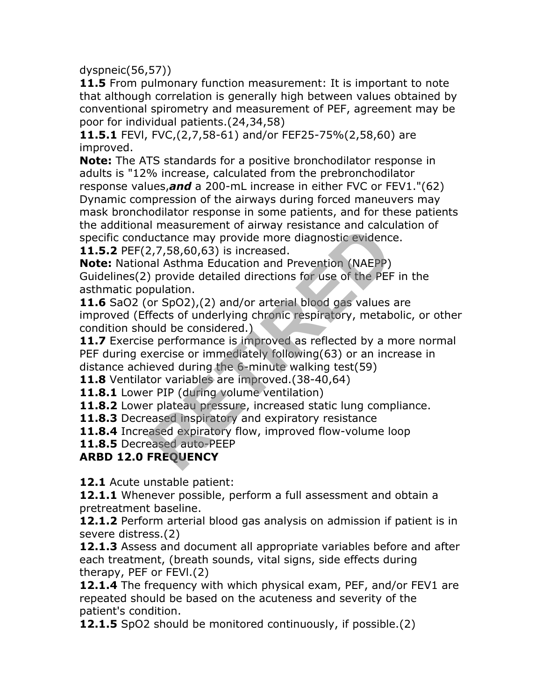dyspneic(56,57))

**11.5** From pulmonary function measurement: It is important to note that although correlation is generally high between values obtained by conventional spirometry and measurement of PEF, agreement may be poor for individual patients.(24,34,58)

**11.5.1** FEVl, FVC,(2,7,58-61) and/or FEF25-75%(2,58,60) are improved.

**Note:** The ATS standards for a positive bronchodilator response in adults is "12% increase, calculated from the prebronchodilator

response values,*and* a 200-mL increase in either FVC or FEV1."(62) Dynamic compression of the airways during forced maneuvers may mask bronchodilator response in some patients, and for these patients the additional measurement of airway resistance and calculation of specific conductance may provide more diagnostic evidence.

**11.5.2** PEF(2,7,58,60,63) is increased.

**Note:** National Asthma Education and Prevention (NAEPP) Guidelines(2) provide detailed directions for use of the PEF in the asthmatic population.

**11.6** SaO2 (or SpO2),(2) and/or arterial blood gas values are improved (Effects of underlying chronic respiratory, metabolic, or other condition should be considered.)

**11.7** Exercise performance is improved as reflected by a more normal PEF during exercise or immediately following(63) or an increase in distance achieved during the 6-minute walking test(59) In measurement of an way resistance and cacture<br>uctance may provide more diagnostic evidenc<br>2,7,58,60,63) is increased.<br>and Asthma Education and Prevention (NAEPP)<br>provide detailed directions for use of the PEF<br>pulation.<br>o

**11.8** Ventilator variables are improved.(38-40,64)

**11.8.1** Lower PIP (during volume ventilation)

**11.8.2** Lower plateau pressure, increased static lung compliance.

11.8.3 Decreased inspiratory and expiratory resistance

**11.8.4** Increased expiratory flow, improved flow-volume loop

**11.8.5** Decreased auto-PEEP

#### **ARBD 12.0 FREQUENCY**

**12.1** Acute unstable patient:

**12.1.1** Whenever possible, perform a full assessment and obtain a pretreatment baseline.

**12.1.2** Perform arterial blood gas analysis on admission if patient is in severe distress.(2)

**12.1.3** Assess and document all appropriate variables before and after each treatment, (breath sounds, vital signs, side effects during therapy, PEF or FEVl.(2)

**12.1.4** The frequency with which physical exam, PEF, and/or FEV1 are repeated should be based on the acuteness and severity of the patient's condition.

**12.1.5** SpO2 should be monitored continuously, if possible.(2)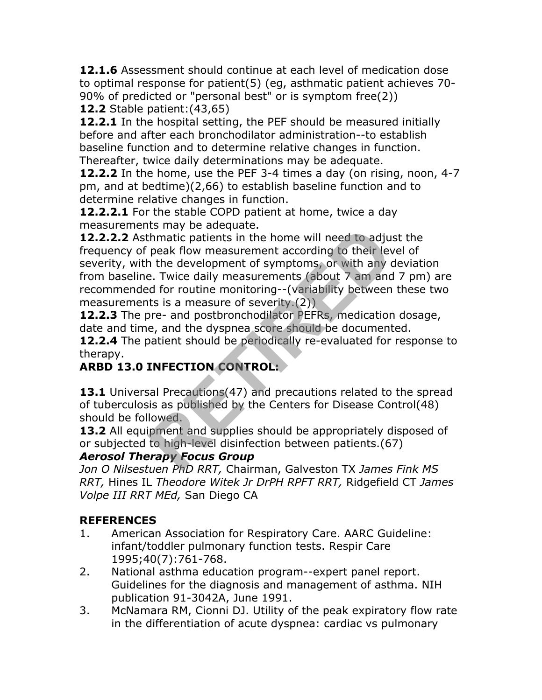**12.1.6** Assessment should continue at each level of medication dose to optimal response for patient(5) (eg, asthmatic patient achieves 70- 90% of predicted or "personal best" or is symptom free(2)) **12.2** Stable patient:(43,65)

**12.2.1** In the hospital setting, the PEF should be measured initially before and after each bronchodilator administration--to establish baseline function and to determine relative changes in function. Thereafter, twice daily determinations may be adequate.

**12.2.2** In the home, use the PEF 3-4 times a day (on rising, noon, 4-7 pm, and at bedtime)(2,66) to establish baseline function and to determine relative changes in function.

**12.2.2.1** For the stable COPD patient at home, twice a day measurements may be adequate.

**12.2.2.2** Asthmatic patients in the home will need to adjust the frequency of peak flow measurement according to their level of severity, with the development of symptoms, or with any deviation from baseline. Twice daily measurements (about 7 am and 7 pm) are recommended for routine monitoring--(variability between these two measurements is a measure of severity.(2)) Its may be adequate.<br>
the home will need to adju-<br>
peak flow measurement according to their lev<br>
n the development of symptoms, or with any c<br>
e. Twice daily measurements (about 7 am and<br>
d for routine monitoring--(variabi

**12.2.3** The pre- and postbronchodilator PEFRs, medication dosage, date and time, and the dyspnea score should be documented.

**12.2.4** The patient should be periodically re-evaluated for response to therapy.

## **ARBD 13.0 INFECTION CONTROL:**

13.1 Universal Precautions (47) and precautions related to the spread of tuberculosis as published by the Centers for Disease Control(48) should be followed.

**13.2** All equipment and supplies should be appropriately disposed of or subjected to high-level disinfection between patients.(67)

#### *Aerosol Therapy Focus Group*

*Jon O Nilsestuen PhD RRT,* Chairman, Galveston TX *James Fink MS RRT,* Hines IL *Theodore Witek Jr DrPH RPFT RRT,* Ridgefield CT *James Volpe III RRT MEd,* San Diego CA

#### **REFERENCES**

- 1. American Association for Respiratory Care. AARC Guideline: infant/toddler pulmonary function tests. Respir Care 1995;40(7):761-768.
- 2. National asthma education program--expert panel report. Guidelines for the diagnosis and management of asthma. NIH publication 91-3042A, June 1991.
- 3. McNamara RM, Cionni DJ. Utility of the peak expiratory flow rate in the differentiation of acute dyspnea: cardiac vs pulmonary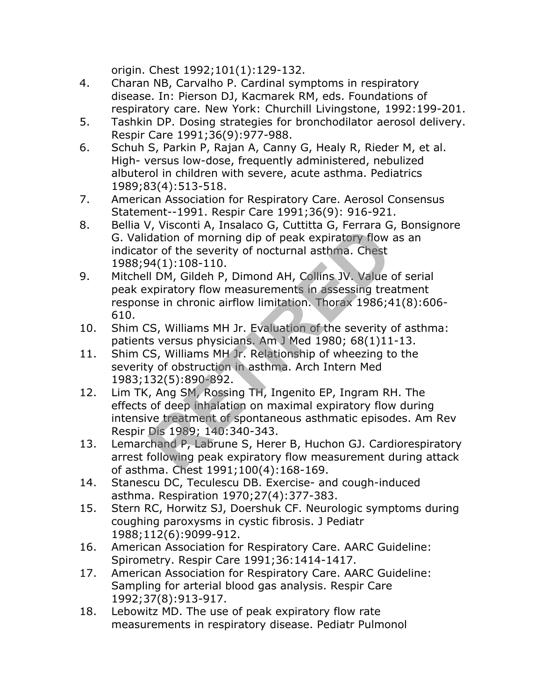origin. Chest 1992;101(1):129-132.

- 4. Charan NB, Carvalho P. Cardinal symptoms in respiratory disease. In: Pierson DJ, Kacmarek RM, eds. Foundations of respiratory care. New York: Churchill Livingstone, 1992:199-201.
- 5. Tashkin DP. Dosing strategies for bronchodilator aerosol delivery. Respir Care 1991;36(9):977-988.
- 6. Schuh S, Parkin P, Rajan A, Canny G, Healy R, Rieder M, et al. High- versus low-dose, frequently administered, nebulized albuterol in children with severe, acute asthma. Pediatrics 1989;83(4):513-518.
- 7. American Association for Respiratory Care. Aerosol Consensus Statement--1991. Respir Care 1991;36(9): 916-921.
- 8. Bellia V, Visconti A, Insalaco G, Cuttitta G, Ferrara G, Bonsignore G. Validation of morning dip of peak expiratory flow as an indicator of the severity of nocturnal asthma. Chest 1988;94(1):108-110.
- 9. Mitchell DM, Gildeh P, Dimond AH, Collins JV. Value of serial peak expiratory flow measurements in assessing treatment response in chronic airflow limitation. Thorax 1986;41(8):606- 610. r, viscolid A, fisalaco d, dutited d, remara d<br>dation of morning dip of peak expiratory flow<br>or of the severity of nocturnal asthma. Chest<br> $94(1):108-110$ .<br>II DM, Gildeh P, Dimond AH, Collins JV. Value (<br>xpiratory flow meas
- 10. Shim CS, Williams MH Jr. Evaluation of the severity of asthma: patients versus physicians. Am J Med 1980; 68(1)11-13.
- 11. Shim CS, Williams MH Jr. Relationship of wheezing to the severity of obstruction in asthma. Arch Intern Med 1983;132(5):890-892.
- 12. Lim TK, Ang SM, Rossing TH, Ingenito EP, Ingram RH. The effects of deep inhalation on maximal expiratory flow during intensive treatment of spontaneous asthmatic episodes. Am Rev Respir Dis 1989; 140:340-343.
- 13. Lemarchand P, Labrune S, Herer B, Huchon GJ. Cardiorespiratory arrest following peak expiratory flow measurement during attack of asthma. Chest 1991;100(4):168-169.
- 14. Stanescu DC, Teculescu DB. Exercise- and cough-induced asthma. Respiration 1970;27(4):377-383.
- 15. Stern RC, Horwitz SJ, Doershuk CF. Neurologic symptoms during coughing paroxysms in cystic fibrosis. J Pediatr 1988;112(6):9099-912.
- 16. American Association for Respiratory Care. AARC Guideline: Spirometry. Respir Care 1991;36:1414-1417.
- 17. American Association for Respiratory Care. AARC Guideline: Sampling for arterial blood gas analysis. Respir Care 1992;37(8):913-917.
- 18. Lebowitz MD. The use of peak expiratory flow rate measurements in respiratory disease. Pediatr Pulmonol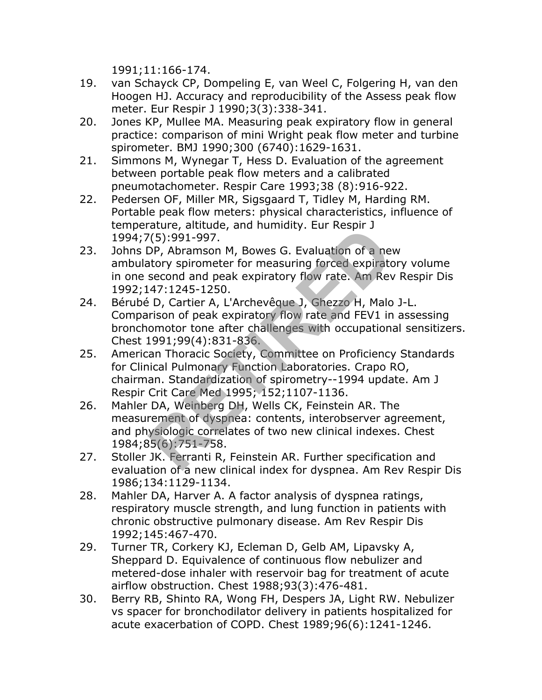1991;11:166-174.

- 19. van Schayck CP, Dompeling E, van Weel C, Folgering H, van den Hoogen HJ. Accuracy and reproducibility of the Assess peak flow meter. Eur Respir J 1990;3(3):338-341.
- 20. Jones KP, Mullee MA. Measuring peak expiratory flow in general practice: comparison of mini Wright peak flow meter and turbine spirometer. BMJ 1990;300 (6740):1629-1631.
- 21. Simmons M, Wynegar T, Hess D. Evaluation of the agreement between portable peak flow meters and a calibrated pneumotachometer. Respir Care 1993;38 (8):916-922.
- 22. Pedersen OF, Miller MR, Sigsgaard T, Tidley M, Harding RM. Portable peak flow meters: physical characteristics, influence of temperature, altitude, and humidity. Eur Respir J 1994;7(5):991-997.
- 23. Johns DP, Abramson M, Bowes G. Evaluation of a new ambulatory spirometer for measuring forced expiratory volume in one second and peak expiratory flow rate. Am Rev Respir Dis 1992;147:1245-1250.
- 24. Bérubé D, Cartier A, L'Archevêque J, Ghezzo H, Malo J-L. Comparison of peak expiratory flow rate and FEV1 in assessing bronchomotor tone after challenges with occupational sensitizers. Chest 1991;99(4):831-836.
- 25. American Thoracic Society, Committee on Proficiency Standards for Clinical Pulmonary Function Laboratories. Crapo RO, chairman. Standardization of spirometry--1994 update. Am J Respir Crit Care Med 1995; 152;1107-1136. (5):991-997.<br>
DP, Abramson M, Bowes G. Evaluation of a net<br>
atory spirometer for measuring forced expirate<br>
second and peak expiratory flow rate. Am Rev<br>
47:1245-1250.<br>
D, Cartier A, L'Archevêque J, Ghezzo H, Malo<br>
rison o
- 26. Mahler DA, Weinberg DH, Wells CK, Feinstein AR. The measurement of dyspnea: contents, interobserver agreement, and physiologic correlates of two new clinical indexes. Chest 1984;85(6):751-758.
- 27. Stoller JK. Ferranti R, Feinstein AR. Further specification and evaluation of a new clinical index for dyspnea. Am Rev Respir Dis 1986;134:1129-1134.
- 28. Mahler DA, Harver A. A factor analysis of dyspnea ratings, respiratory muscle strength, and lung function in patients with chronic obstructive pulmonary disease. Am Rev Respir Dis 1992;145:467-470.
- 29. Turner TR, Corkery KJ, Ecleman D, Gelb AM, Lipavsky A, Sheppard D. Equivalence of continuous flow nebulizer and metered-dose inhaler with reservoir bag for treatment of acute airflow obstruction. Chest 1988;93(3):476-481.
- 30. Berry RB, Shinto RA, Wong FH, Despers JA, Light RW. Nebulizer vs spacer for bronchodilator delivery in patients hospitalized for acute exacerbation of COPD. Chest 1989;96(6):1241-1246.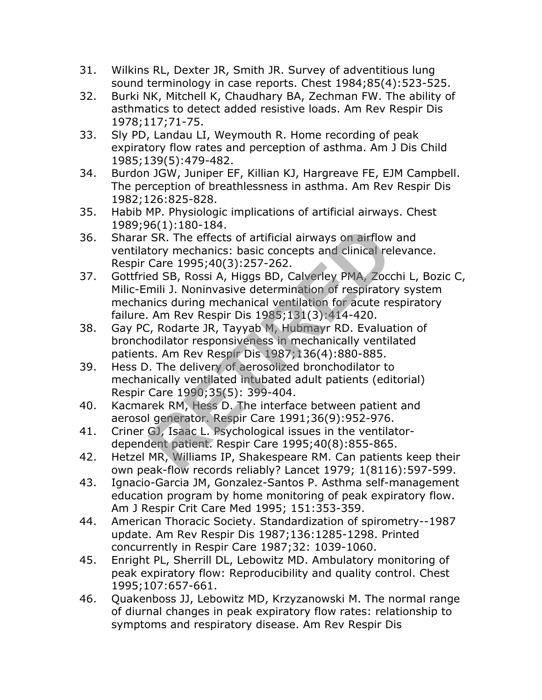- 31. Wilkins RL, Dexter JR, Smith JR. Survey of adventitious lung sound terminology in case reports. Chest 1984;85(4):523-525.
- 32. Burki NK, Mitchell K, Chaudhary BA, Zechman FW. The ability of asthmatics to detect added resistive loads. Am Rev Respir Dis 1978;117;71-75.
- 33. Sly PD, Landau LI, Weymouth R. Home recording of peak expiratory flow rates and perception of asthma. Am J Dis Child 1985;139(5):479-482.
- 34. Burdon JGW, Juniper EF, Killian KJ, Hargreave FE, EJM Campbell. The perception of breathlessness in asthma. Am Rev Respir Dis 1982;126:825-828.
- 35. Habib MP. Physiologic implications of artificial airways. Chest 1989;96(1):180-184.
- 36. Sharar SR. The effects of artificial airways on airflow and ventilatory mechanics: basic concepts and clinical relevance. Respir Care 1995;40(3):257-262.
- 37. Gottfried SB, Rossi A, Higgs BD, Calverley PMA, Zocchi L, Bozic C, Milic-Emili J. Noninvasive determination of respiratory system mechanics during mechanical ventilation for acute respiratory failure. Am Rev Respir Dis 1985;131(3):414-420. SR. The effects of artificial airways on airflow<br>tory mechanics: basic concepts and clinical rel<br>Care 1995;40(3):257-262.<br>ed SB, Rossi A, Higgs BD, Calverley PMA, Zocc<br>mili J. Noninvasive determination of respirator<br>nics d
- 38. Gay PC, Rodarte JR, Tayyab M, Hubmayr RD. Evaluation of bronchodilator responsiveness in mechanically ventilated patients. Am Rev Respir Dis 1987;136(4):880-885.
- 39. Hess D. The delivery of aerosolized bronchodilator to mechanically ventilated intubated adult patients (editorial) Respir Care 1990;35(5): 399-404.
- 40. Kacmarek RM, Hess D. The interface between patient and aerosol generator. Respir Care 1991;36(9):952-976.
- 41. Criner GJ, Isaac L. Psychological issues in the ventilatordependent patient. Respir Care 1995;40(8):855-865.
- 42. Hetzel MR, Williams IP, Shakespeare RM. Can patients keep their own peak-flow records reliably? Lancet 1979; 1(8116):597-599.
- 43. Ignacio-Garcia JM, Gonzalez-Santos P. Asthma self-management education program by home monitoring of peak expiratory flow. Am J Respir Crit Care Med 1995; 151:353-359.
- 44. American Thoracic Society. Standardization of spirometry--1987 update. Am Rev Respir Dis 1987;136:1285-1298. Printed concurrently in Respir Care 1987;32: 1039-1060.
- 45. Enright PL, Sherrill DL, Lebowitz MD. Ambulatory monitoring of peak expiratory flow: Reproducibility and quality control. Chest 1995;107:657-661.
- 46. Quakenboss JJ, Lebowitz MD, Krzyzanowski M. The normal range of diurnal changes in peak expiratory flow rates: relationship to symptoms and respiratory disease. Am Rev Respir Dis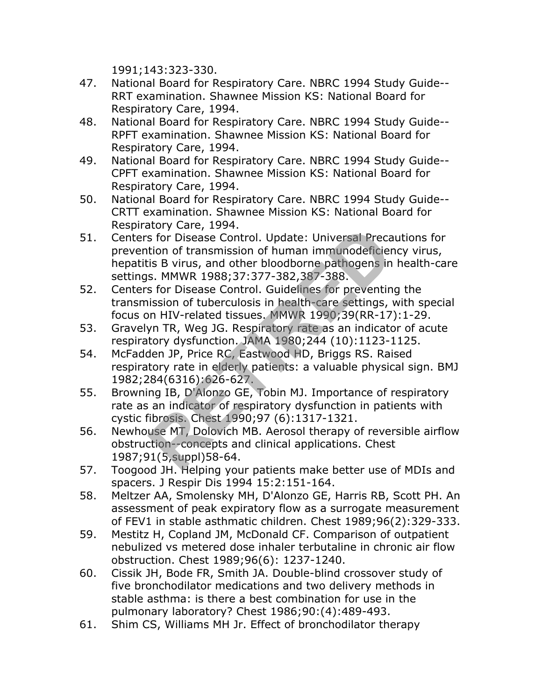1991;143:323-330.

- 47. National Board for Respiratory Care. NBRC 1994 Study Guide-- RRT examination. Shawnee Mission KS: National Board for Respiratory Care, 1994.
- 48. National Board for Respiratory Care. NBRC 1994 Study Guide-- RPFT examination. Shawnee Mission KS: National Board for Respiratory Care, 1994.
- 49. National Board for Respiratory Care. NBRC 1994 Study Guide-- CPFT examination. Shawnee Mission KS: National Board for Respiratory Care, 1994.
- 50. National Board for Respiratory Care. NBRC 1994 Study Guide-- CRTT examination. Shawnee Mission KS: National Board for Respiratory Care, 1994.
- 51. Centers for Disease Control. Update: Universal Precautions for prevention of transmission of human immunodeficiency virus, hepatitis B virus, and other bloodborne pathogens in health-care settings. MMWR 1988;37:377-382,387-388. is for Disease Control. Update: Universal Precation of transmission of human immunodeficier<br>is B virus, and other bloodborne pathogens in<br>s. MMWR 1988;37:377-382,387-388.<br>s for Disease Control. Guidelines for preventin<br>iss
- 52. Centers for Disease Control. Guidelines for preventing the transmission of tuberculosis in health-care settings, with special focus on HIV-related tissues. MMWR 1990;39(RR-17):1-29.
- 53. Gravelyn TR, Weg JG. Respiratory rate as an indicator of acute respiratory dysfunction. JAMA 1980;244 (10):1123-1125.
- 54. McFadden JP, Price RC, Eastwood HD, Briggs RS. Raised respiratory rate in elderly patients: a valuable physical sign. BMJ 1982;284(6316):626-627.
- 55. Browning IB, D'Alonzo GE, Tobin MJ. Importance of respiratory rate as an indicator of respiratory dysfunction in patients with cystic fibrosis. Chest 1990;97 (6):1317-1321.
- 56. Newhouse MT, Dolovich MB. Aerosol therapy of reversible airflow obstruction--concepts and clinical applications. Chest 1987;91(5,suppl)58-64.
- 57. Toogood JH. Helping your patients make better use of MDIs and spacers. J Respir Dis 1994 15:2:151-164.
- 58. Meltzer AA, Smolensky MH, D'Alonzo GE, Harris RB, Scott PH. An assessment of peak expiratory flow as a surrogate measurement of FEV1 in stable asthmatic children. Chest 1989;96(2):329-333.
- 59. Mestitz H, Copland JM, McDonald CF. Comparison of outpatient nebulized vs metered dose inhaler terbutaline in chronic air flow obstruction. Chest 1989;96(6): 1237-1240.
- 60. Cissik JH, Bode FR, Smith JA. Double-blind crossover study of five bronchodilator medications and two delivery methods in stable asthma: is there a best combination for use in the pulmonary laboratory? Chest 1986;90:(4):489-493.
- 61. Shim CS, Williams MH Jr. Effect of bronchodilator therapy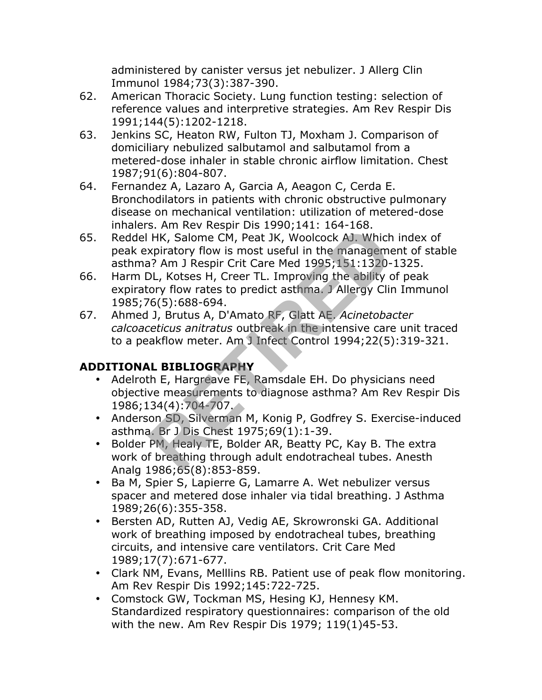administered by canister versus jet nebulizer. J Allerg Clin Immunol 1984;73(3):387-390.

- 62. American Thoracic Society. Lung function testing: selection of reference values and interpretive strategies. Am Rev Respir Dis 1991;144(5):1202-1218.
- 63. Jenkins SC, Heaton RW, Fulton TJ, Moxham J. Comparison of domiciliary nebulized salbutamol and salbutamol from a metered-dose inhaler in stable chronic airflow limitation. Chest 1987;91(6):804-807.
- 64. Fernandez A, Lazaro A, Garcia A, Aeagon C, Cerda E. Bronchodilators in patients with chronic obstructive pulmonary disease on mechanical ventilation: utilization of metered-dose inhalers. Am Rev Respir Dis 1990;141: 164-168.
- 65. Reddel HK, Salome CM, Peat JK, Woolcock AJ. Which index of peak expiratory flow is most useful in the management of stable asthma? Am J Respir Crit Care Med 1995;151:1320-1325. S. And New Respir Dis 1930,141. 104 100.<br>
HK, Salome CM, Peat JK, Woolcock AJ. Which<br>
xpiratory flow is most useful in the management?<br>
P. Am J Respir Crit Care Med 1995;151:1320-<br>
D. Kotses H, Creer TL. Improving the abil
- 66. Harm DL, Kotses H, Creer TL. Improving the ability of peak expiratory flow rates to predict asthma. J Allergy Clin Immunol 1985;76(5):688-694.
- 67. Ahmed J, Brutus A, D'Amato RF, Glatt AE. *Acinetobacter calcoaceticus anitratus* outbreak in the intensive care unit traced to a peakflow meter. Am J Infect Control 1994;22(5):319-321.

## **ADDITIONAL BIBLIOGRAPHY**

- Adelroth E, Hargreave FE, Ramsdale EH. Do physicians need objective measurements to diagnose asthma? Am Rev Respir Dis 1986;134(4):704-707.
- Anderson SD, Silverman M, Konig P, Godfrey S. Exercise-induced asthma. Br J Dis Chest 1975;69(1):1-39.
- Bolder PM, Healy TE, Bolder AR, Beatty PC, Kay B. The extra work of breathing through adult endotracheal tubes. Anesth Analg 1986;65(8):853-859.
- Ba M, Spier S, Lapierre G, Lamarre A. Wet nebulizer versus spacer and metered dose inhaler via tidal breathing. J Asthma 1989;26(6):355-358.
- Bersten AD, Rutten AJ, Vedig AE, Skrowronski GA. Additional work of breathing imposed by endotracheal tubes, breathing circuits, and intensive care ventilators. Crit Care Med 1989;17(7):671-677.
- Clark NM, Evans, Melllins RB. Patient use of peak flow monitoring. Am Rev Respir Dis 1992;145:722-725.
- Comstock GW, Tockman MS, Hesing KJ, Hennesy KM. Standardized respiratory questionnaires: comparison of the old with the new. Am Rev Respir Dis 1979; 119(1)45-53.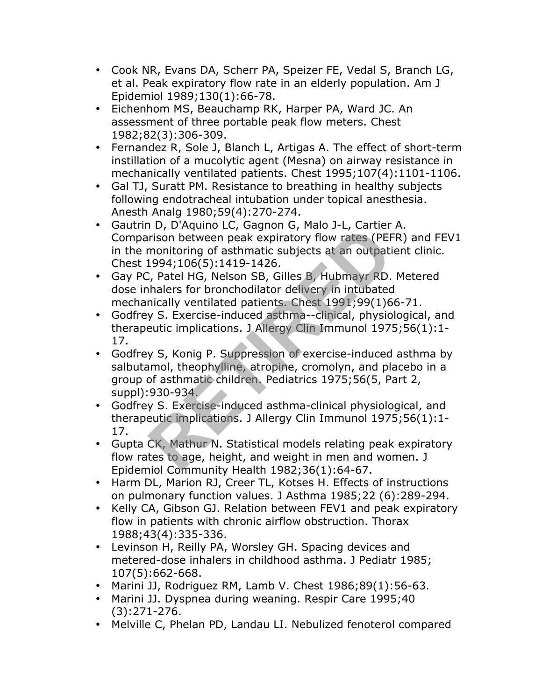- Cook NR, Evans DA, Scherr PA, Speizer FE, Vedal S, Branch LG, et al. Peak expiratory flow rate in an elderly population. Am J Epidemiol 1989;130(1):66-78.
- Eichenhom MS, Beauchamp RK, Harper PA, Ward JC. An assessment of three portable peak flow meters. Chest 1982;82(3):306-309.
- Fernandez R, Sole J, Blanch L, Artigas A. The effect of short-term instillation of a mucolytic agent (Mesna) on airway resistance in mechanically ventilated patients. Chest 1995;107(4):1101-1106.
- Gal TJ, Suratt PM. Resistance to breathing in healthy subjects following endotracheal intubation under topical anesthesia. Anesth Analg 1980;59(4):270-274.
- Gautrin D, D'Aquino LC, Gagnon G, Malo J-L, Cartier A. Comparison between peak expiratory flow rates (PEFR) and FEV1 in the monitoring of asthmatic subjects at an outpatient clinic. Chest 1994;106(5):1419-1426.
- Gay PC, Patel HG, Nelson SB, Gilles B, Hubmayr RD. Metered dose inhalers for bronchodilator delivery in intubated mechanically ventilated patients. Chest 1991;99(1)66-71.
- Godfrey S. Exercise-induced asthma--clinical, physiological, and therapeutic implications. J Allergy Clin Immunol 1975;56(1):1- 17.
- Godfrey S, Konig P. Suppression of exercise-induced asthma by salbutamol, theophylline, atropine, cromolyn, and placebo in a group of asthmatic children. Pediatrics 1975;56(5, Part 2, suppl):930-934. For Dequine Exteriors of exercise into the product of the set of permuintering of ashmatic subjects at an outpatition of ashmatic subjects at an outpatition of ashmatic subjects at an outpatition of the price of the proced
- Godfrey S. Exercise-induced asthma-clinical physiological, and therapeutic implications. J Allergy Clin Immunol 1975;56(1):1- 17.
- Gupta CK, Mathur N. Statistical models relating peak expiratory flow rates to age, height, and weight in men and women. J Epidemiol Community Health 1982;36(1):64-67.
- Harm DL, Marion RJ, Creer TL, Kotses H. Effects of instructions on pulmonary function values. J Asthma 1985;22 (6):289-294.
- Kelly CA, Gibson GJ. Relation between FEV1 and peak expiratory flow in patients with chronic airflow obstruction. Thorax 1988;43(4):335-336.
- Levinson H, Reilly PA, Worsley GH. Spacing devices and metered-dose inhalers in childhood asthma. J Pediatr 1985; 107(5):662-668.
- Marini JJ, Rodriguez RM, Lamb V. Chest 1986;89(1):56-63.
- Marini JJ. Dyspnea during weaning. Respir Care 1995;40 (3):271-276.
- Melville C, Phelan PD, Landau LI. Nebulized fenoterol compared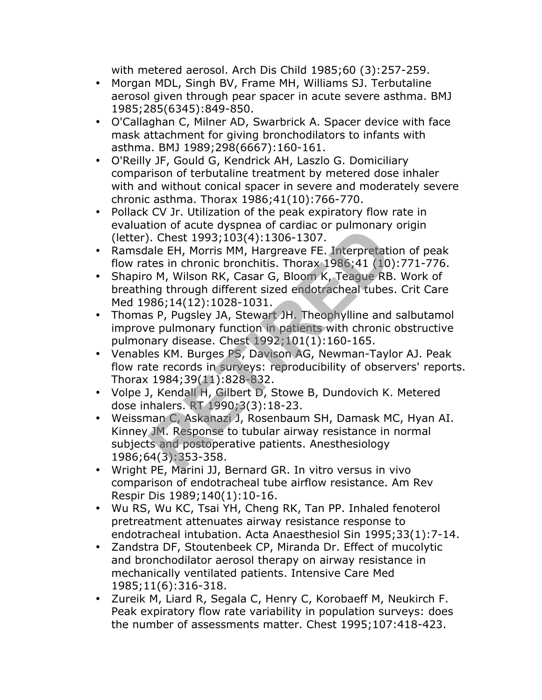with metered aerosol. Arch Dis Child 1985;60 (3):257-259.

- Morgan MDL, Singh BV, Frame MH, Williams SJ. Terbutaline aerosol given through pear spacer in acute severe asthma. BMJ 1985;285(6345):849-850.
- O'Callaghan C, Milner AD, Swarbrick A. Spacer device with face mask attachment for giving bronchodilators to infants with asthma. BMJ 1989;298(6667):160-161.
- O'Reilly JF, Gould G, Kendrick AH, Laszlo G. Domiciliary comparison of terbutaline treatment by metered dose inhaler with and without conical spacer in severe and moderately severe chronic asthma. Thorax 1986;41(10):766-770.
- Pollack CV Jr. Utilization of the peak expiratory flow rate in evaluation of acute dyspnea of cardiac or pulmonary origin (letter). Chest 1993;103(4):1306-1307.
- Ramsdale EH, Morris MM, Hargreave FE. Interpretation of peak flow rates in chronic bronchitis. Thorax 1986;41 (10):771-776.
- Shapiro M, Wilson RK, Casar G, Bloom K, Teague RB. Work of breathing through different sized endotracheal tubes. Crit Care Med 1986;14(12):1028-1031.
- Thomas P, Pugsley JA, Stewart JH. Theophylline and salbutamol improve pulmonary function in patients with chronic obstructive pulmonary disease. Chest 1992;101(1):160-165.
- Venables KM. Burges PS, Davison AG, Newman-Taylor AJ. Peak flow rate records in surveys: reproducibility of observers' reports. Thorax 1984;39(11):828-832.
- Volpe J, Kendall H, Gilbert D, Stowe B, Dundovich K. Metered dose inhalers. RT 1990;3(3):18-23.
- Weissman C, Askanazi J, Rosenbaum SH, Damask MC, Hyan AI. Kinney JM. Response to tubular airway resistance in normal subjects and postoperative patients. Anesthesiology 1986;64(3):353-358. I. Chest 1993;103(4):1306-1307.<br>
ale EH, Morris MM, Hargreave FE. Interpretatives in chronic bronchitis. Thorax 1986;41 (10)<br>
20 M, Wilson RK, Casar G, Bloom K, Teague RB<br>
Reging through different sized endotracheal tubes<br>
- Wright PE, Marini JJ, Bernard GR. In vitro versus in vivo comparison of endotracheal tube airflow resistance. Am Rev Respir Dis 1989;140(1):10-16.
- Wu RS, Wu KC, Tsai YH, Cheng RK, Tan PP. Inhaled fenoterol pretreatment attenuates airway resistance response to endotracheal intubation. Acta Anaesthesiol Sin 1995;33(1):7-14.
- Zandstra DF, Stoutenbeek CP, Miranda Dr. Effect of mucolytic and bronchodilator aerosol therapy on airway resistance in mechanically ventilated patients. Intensive Care Med 1985;11(6):316-318.
- Zureik M, Liard R, Segala C, Henry C, Korobaeff M, Neukirch F. Peak expiratory flow rate variability in population surveys: does the number of assessments matter. Chest 1995;107:418-423.